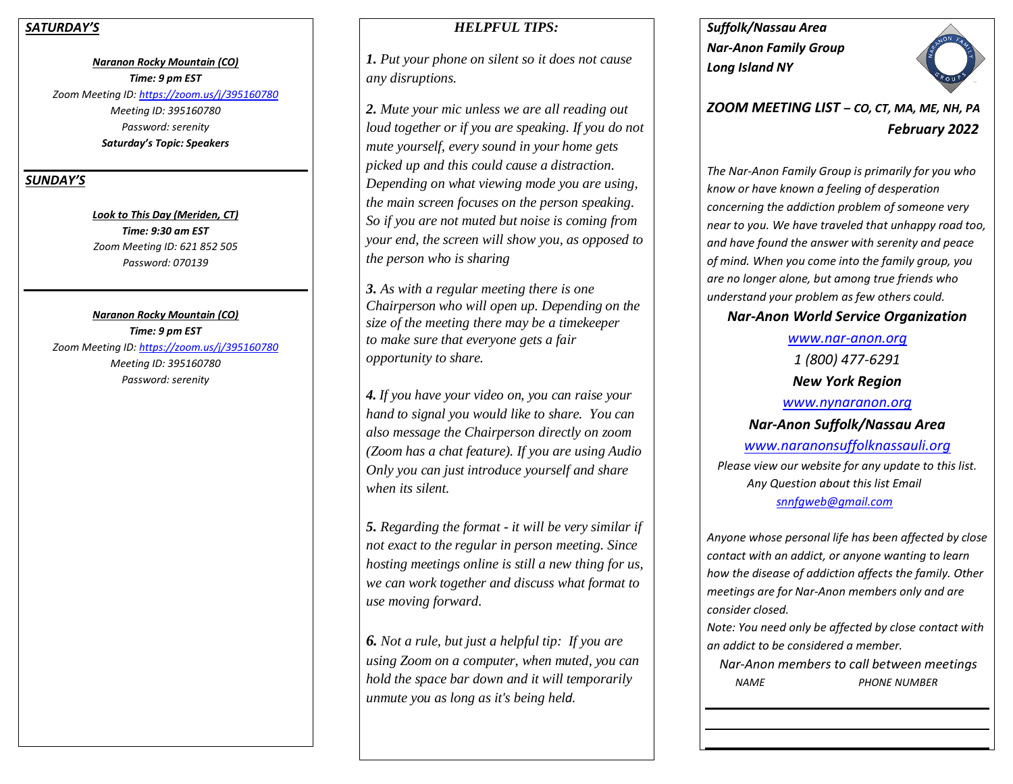#### *SATURDAY'S*

*Naranon Rocky Mountain (CO) Time: 9 pm EST Zoom Meeting ID:<https://zoom.us/j/395160780> Meeting ID: 395160780 Password: serenity Saturday's Topic: Speakers*

## *SUNDAY'S*

*Look to This Day (Meriden, CT) Time: 9:30 am EST Zoom Meeting ID: 621 852 505 Password: 070139*

*Naranon Rocky Mountain (CO) Time: 9 pm EST Zoom Meeting ID:<https://zoom.us/j/395160780> Meeting ID: 395160780 Password: serenity*

# *HELPFUL TIPS:*

*1. Put your phone on silent so it does not cause any disruptions.*

*2. Mute your mic unless we are all reading out loud together or if you are speaking. If you do not mute yourself, every sound in your home gets picked up and this could cause a distraction. Depending on what viewing mode you are using, the main screen focuses on the person speaking. So if you are not muted but noise is coming from your end, the screen will show you, as opposed to the person who is sharing*

*3. As with a regular meeting there is one Chairperson who will open up. Depending on the size of the meeting there may be a timekeeper to make sure that everyone gets a fair opportunity to share.*

*4. If you have your video on, you can raise your hand to signal you would like to share. You can also message the Chairperson directly on zoom (Zoom has a chat feature). If you are using Audio Only you can just introduce yourself and share when its silent.* 

*5. Regarding the format - it will be very similar if not exact to the regular in person meeting. Since hosting meetings online is still a new thing for us, we can work together and discuss what format to use moving forward.*

*6. Not a rule, but just a helpful tip: If you are using Zoom on a computer, when muted, you can hold the space bar down and it will temporarily unmute you as long as it's being held.* 

*Suffolk/Nassau Area Nar-Anon Family Group Long Island NY* 



*ZOOM MEETING LIST – CO, CT, MA, ME, NH, PA February 2022*

*The Nar-Anon Family Group is primarily for you who know or have known a feeling of desperation concerning the addiction problem of someone very near to you. We have traveled that unhappy road too, and have found the answer with serenity and peace of mind. When you come into the family group, you are no longer alone, but among true friends who understand your problem as few others could.* 

# *Nar-Anon World Service Organization*

*[www.nar-anon.org](http://www.nar-anon.org/) 1 (800) 477-6291 New York Region [www.nynaranon.org](http://www.nynaranon.org/) Nar-Anon Suffolk/Nassau Area [www.naranonsuffolknassauli.org](http://www.naranonsuffolknassauli.org/) Please view our website for any update to this list. Any Question about this list Email [snnfgweb@gmail.com](mailto:snnfgweb@gmail.com)*

*Anyone whose personal life has been affected by close contact with an addict, or anyone wanting to learn how the disease of addiction affects the family. Other meetings are for Nar-Anon members only and are consider closed.*

*Note: You need only be affected by close contact with an addict to be considered a member.*

 *Nar-Anon members to call between meetings NAME PHONE NUMBER*